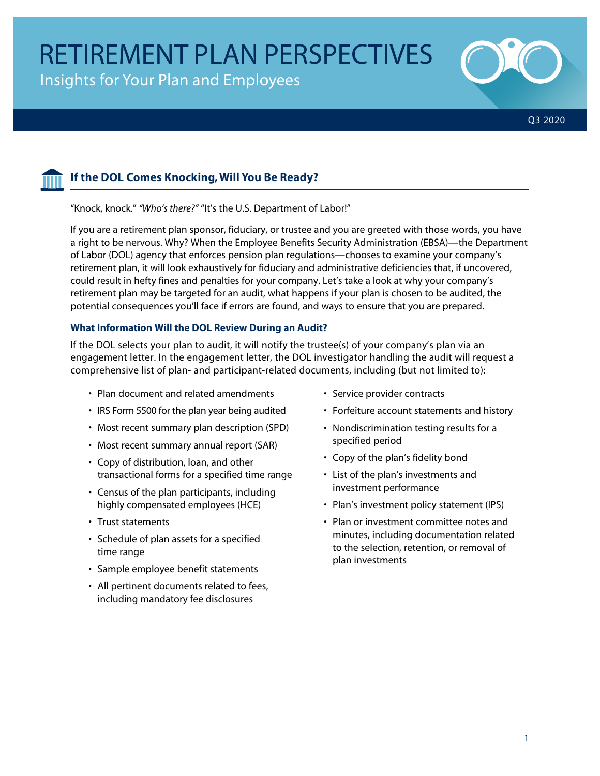Insights for Your Plan and Employees





# **If the DOL Comes Knocking, Will You Be Ready?**

"Knock, knock." *"Who's there?"* "It's the U.S. Department of Labor!"

If you are a retirement plan sponsor, fiduciary, or trustee and you are greeted with those words, you have a right to be nervous. Why? When the Employee Benefits Security Administration (EBSA)—the Department of Labor (DOL) agency that enforces pension plan regulations—chooses to examine your company's retirement plan, it will look exhaustively for fiduciary and administrative deficiencies that, if uncovered, could result in hefty fines and penalties for your company. Let's take a look at why your company's retirement plan may be targeted for an audit, what happens if your plan is chosen to be audited, the potential consequences you'll face if errors are found, and ways to ensure that you are prepared.

### **What Information Will the DOL Review During an Audit?**

If the DOL selects your plan to audit, it will notify the trustee(s) of your company's plan via an engagement letter. In the engagement letter, the DOL investigator handling the audit will request a comprehensive list of plan- and participant-related documents, including (but not limited to):

- Plan document and related amendments
- IRS Form 5500 for the plan year being audited
- Most recent summary plan description (SPD)
- Most recent summary annual report (SAR)
- Copy of distribution, loan, and other transactional forms for a specified time range
- Census of the plan participants, including highly compensated employees (HCE)
- Trust statements
- Schedule of plan assets for a specified time range
- Sample employee benefit statements
- All pertinent documents related to fees, including mandatory fee disclosures
- Service provider contracts
- Forfeiture account statements and history
- Nondiscrimination testing results for a specified period
- Copy of the plan's fidelity bond
- List of the plan's investments and investment performance
- Plan's investment policy statement (IPS)
- Plan or investment committee notes and minutes, including documentation related to the selection, retention, or removal of plan investments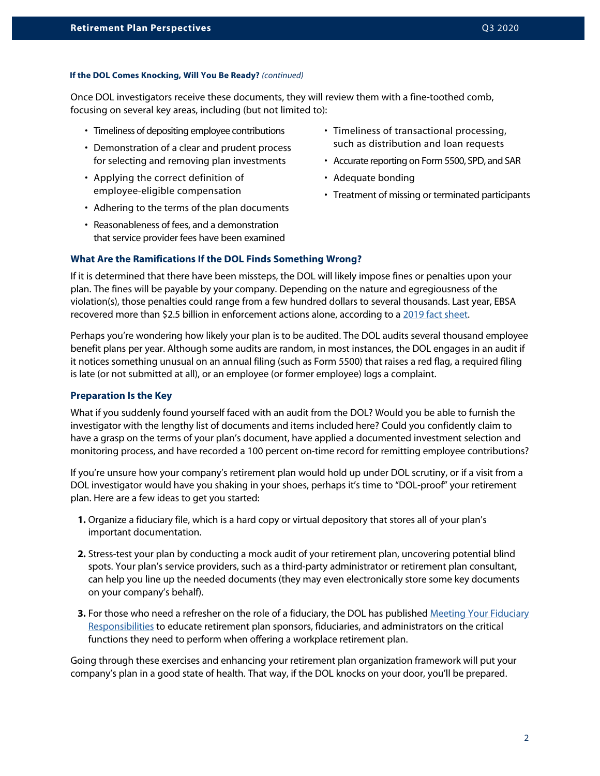#### **If the DOL Comes Knocking, Will You Be Ready?** *(continued)*

Once DOL investigators receive these documents, they will review them with a fine-toothed comb, focusing on several key areas, including (but not limited to):

- Timeliness of depositing employee contributions
- Demonstration of a clear and prudent process for selecting and removing plan investments
- Applying the correct definition of employee-eligible compensation
- Adhering to the terms of the plan documents
- Reasonableness of fees, and a demonstration that service provider fees have been examined
- Timeliness of transactional processing, such as distribution and loan requests
- Accurate reporting on Form 5500, SPD, and SAR
- Adequate bonding
- Treatment of missing or terminated participants

#### **What Are the Ramifications If the DOL Finds Something Wrong?**

If it is determined that there have been missteps, the DOL will likely impose fines or penalties upon your plan. The fines will be payable by your company. Depending on the nature and egregiousness of the violation(s), those penalties could range from a few hundred dollars to several thousands. Last year, EBSA recovered more than \$2.5 billion in enforcement actions alone, according to a [2019 fact sheet](https://www.dol.gov/sites/dolgov/files/EBSA/about-ebsa/our-activities/resource-center/fact-sheets/ebsa-monetary-results.pdf).

Perhaps you're wondering how likely your plan is to be audited. The DOL audits several thousand employee benefit plans per year. Although some audits are random, in most instances, the DOL engages in an audit if it notices something unusual on an annual filing (such as Form 5500) that raises a red flag, a required filing is late (or not submitted at all), or an employee (or former employee) logs a complaint.

#### **Preparation Is the Key**

What if you suddenly found yourself faced with an audit from the DOL? Would you be able to furnish the investigator with the lengthy list of documents and items included here? Could you confidently claim to have a grasp on the terms of your plan's document, have applied a documented investment selection and monitoring process, and have recorded a 100 percent on-time record for remitting employee contributions?

If you're unsure how your company's retirement plan would hold up under DOL scrutiny, or if a visit from a DOL investigator would have you shaking in your shoes, perhaps it's time to "DOL-proof" your retirement plan. Here are a few ideas to get you started:

- **1.** Organize a fiduciary file, which is a hard copy or virtual depository that stores all of your plan's important documentation.
- **2.** Stress-test your plan by conducting a mock audit of your retirement plan, uncovering potential blind spots. Your plan's service providers, such as a third-party administrator or retirement plan consultant, can help you line up the needed documents (they may even electronically store some key documents on your company's behalf).
- **3.** For those who need a refresher on the role of a fiduciary, the DOL has published [Meeting Your Fiduciary](https://www.dol.gov/sites/dolgov/files/EBSA/about-ebsa/our-activities/resource-center/publications/meeting-your-fiduciary-responsibilities.pdf) [Responsibilities](https://www.dol.gov/sites/dolgov/files/EBSA/about-ebsa/our-activities/resource-center/publications/meeting-your-fiduciary-responsibilities.pdf) to educate retirement plan sponsors, fiduciaries, and administrators on the critical functions they need to perform when offering a workplace retirement plan.

Going through these exercises and enhancing your retirement plan organization framework will put your company's plan in a good state of health. That way, if the DOL knocks on your door, you'll be prepared.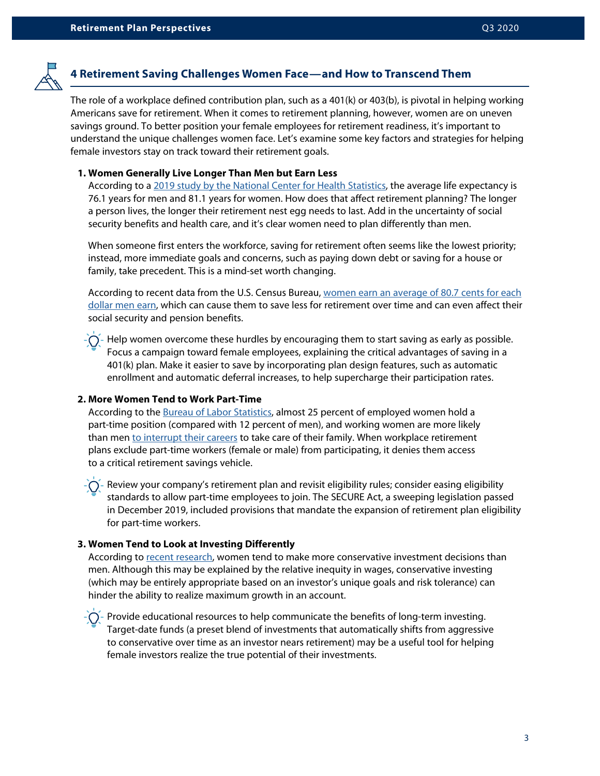

## **4 Retirement Saving Challenges Women Face—and How to Transcend Them**

The role of a workplace defined contribution plan, such as a 401(k) or 403(b), is pivotal in helping working Americans save for retirement. When it comes to retirement planning, however, women are on uneven savings ground. To better position your female employees for retirement readiness, it's important to understand the unique challenges women face. Let's examine some key factors and strategies for helping female investors stay on track toward their retirement goals.

#### **1. Women Generally Live Longer Than Men but Earn Less**

According to a [2019 study by the National Center for Health Statistics,](https://www.cdc.gov/nchs/data/nvsr/nvsr68/nvsr68_07-508.pdf) the average life expectancy is 76.1 years for men and 81.1 years for women. How does that affect retirement planning? The longer a person lives, the longer their retirement nest egg needs to last. Add in the uncertainty of social security benefits and health care, and it's clear women need to plan differently than men.

 When someone first enters the workforce, saving for retirement often seems like the lowest priority; instead, more immediate goals and concerns, such as paying down debt or saving for a house or family, take precedent. This is a mind-set worth changing.

According to recent data from the U.S. Census Bureau, [women earn an average of 80.7 cents for each](https://www.cnbc.com/2020/07/18/heres-how-much-men-and-women-earn-at-every-age.html) [dollar men earn](https://www.cnbc.com/2020/07/18/heres-how-much-men-and-women-earn-at-every-age.html), which can cause them to save less for retirement over time and can even affect their social security and pension benefits.

- Help women overcome these hurdles by encouraging them to start saving as early as possible. Focus a campaign toward female employees, explaining the critical advantages of saving in a 401(k) plan. Make it easier to save by incorporating plan design features, such as automatic enrollment and automatic deferral increases, to help supercharge their participation rates.

### **2. More Women Tend to Work Part-Time**

According to the [Bureau of Labor Statistics](https://www.bls.gov/opub/ted/2017/percentage-of-employed-women-working-full-time-little-changed-over-past-5-decades.htm#:~:text=Since%201968%2C%20the%20percentage%20of,percent%20usually%20worked%20part%20time.), almost 25 percent of employed women hold a part-time position (compared with 12 percent of men), and working women are more likely than men [to interrupt their careers](https://www.pewresearch.org/fact-tank/2015/10/01/women-more-than-men-adjust-their-careers-for-family-life/) to take care of their family. When workplace retirement plans exclude part-time workers (female or male) from participating, it denies them access to a critical retirement savings vehicle.

Review your company's retirement plan and revisit eligibility rules; consider easing eligibility standards to allow part-time employees to join. The SECURE Act, a sweeping legislation passed in December 2019, included provisions that mandate the expansion of retirement plan eligibility for part-time workers.

### **3. Women Tend to Look at Investing Differently**

According to [recent research,](https://www.investopedia.com/articles/investing/031313/women-and-investing-its-style-thing.asp) women tend to make more conservative investment decisions than men. Although this may be explained by the relative inequity in wages, conservative investing (which may be entirely appropriate based on an investor's unique goals and risk tolerance) can hinder the ability to realize maximum growth in an account.

 $\tilde{P}(\tilde{P})$  - Provide educational resources to help communicate the benefits of long-term investing. Target-date funds (a preset blend of investments that automatically shifts from aggressive to conservative over time as an investor nears retirement) may be a useful tool for helping female investors realize the true potential of their investments.